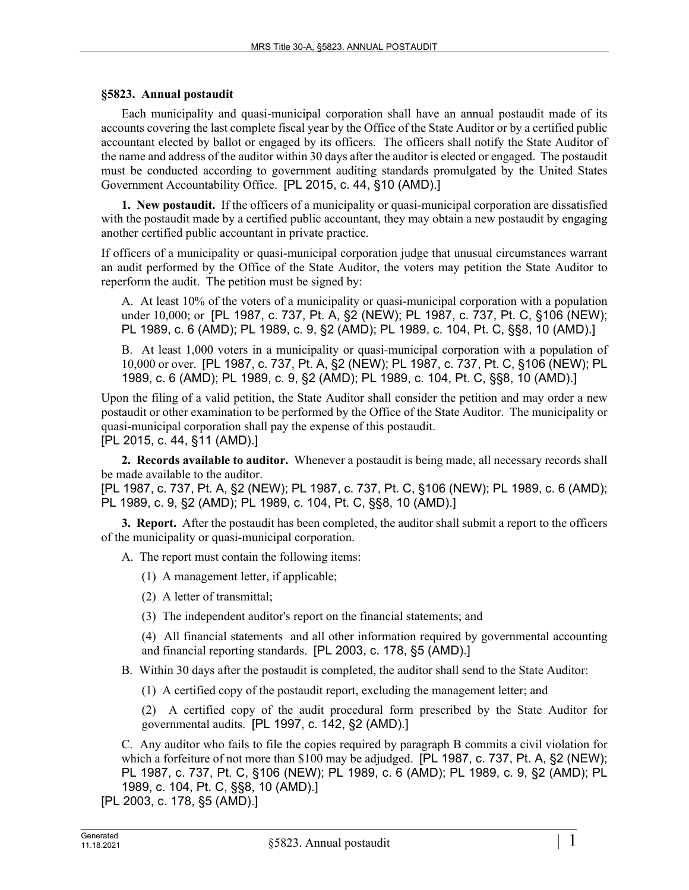## **§5823. Annual postaudit**

Each municipality and quasi-municipal corporation shall have an annual postaudit made of its accounts covering the last complete fiscal year by the Office of the State Auditor or by a certified public accountant elected by ballot or engaged by its officers. The officers shall notify the State Auditor of the name and address of the auditor within 30 days after the auditor is elected or engaged. The postaudit must be conducted according to government auditing standards promulgated by the United States Government Accountability Office. [PL 2015, c. 44, §10 (AMD).]

**1. New postaudit.** If the officers of a municipality or quasi-municipal corporation are dissatisfied with the postaudit made by a certified public accountant, they may obtain a new postaudit by engaging another certified public accountant in private practice.

If officers of a municipality or quasi-municipal corporation judge that unusual circumstances warrant an audit performed by the Office of the State Auditor, the voters may petition the State Auditor to reperform the audit. The petition must be signed by:

A. At least 10% of the voters of a municipality or quasi-municipal corporation with a population under 10,000; or [PL 1987, c. 737, Pt. A, §2 (NEW); PL 1987, c. 737, Pt. C, §106 (NEW); PL 1989, c. 6 (AMD); PL 1989, c. 9, §2 (AMD); PL 1989, c. 104, Pt. C, §§8, 10 (AMD).]

B. At least 1,000 voters in a municipality or quasi-municipal corporation with a population of 10,000 or over. [PL 1987, c. 737, Pt. A, §2 (NEW); PL 1987, c. 737, Pt. C, §106 (NEW); PL 1989, c. 6 (AMD); PL 1989, c. 9, §2 (AMD); PL 1989, c. 104, Pt. C, §§8, 10 (AMD).]

Upon the filing of a valid petition, the State Auditor shall consider the petition and may order a new postaudit or other examination to be performed by the Office of the State Auditor. The municipality or quasi-municipal corporation shall pay the expense of this postaudit.

[PL 2015, c. 44, §11 (AMD).]

**2. Records available to auditor.** Whenever a postaudit is being made, all necessary records shall be made available to the auditor.

[PL 1987, c. 737, Pt. A, §2 (NEW); PL 1987, c. 737, Pt. C, §106 (NEW); PL 1989, c. 6 (AMD); PL 1989, c. 9, §2 (AMD); PL 1989, c. 104, Pt. C, §§8, 10 (AMD).]

**3. Report.** After the postaudit has been completed, the auditor shall submit a report to the officers of the municipality or quasi-municipal corporation.

A. The report must contain the following items:

- (1) A management letter, if applicable;
- (2) A letter of transmittal;
- (3) The independent auditor's report on the financial statements; and

(4) All financial statements and all other information required by governmental accounting and financial reporting standards. [PL 2003, c. 178, §5 (AMD).]

B. Within 30 days after the postaudit is completed, the auditor shall send to the State Auditor:

(1) A certified copy of the postaudit report, excluding the management letter; and

(2) A certified copy of the audit procedural form prescribed by the State Auditor for governmental audits. [PL 1997, c. 142, §2 (AMD).]

C. Any auditor who fails to file the copies required by paragraph B commits a civil violation for which a forfeiture of not more than \$100 may be adjudged. [PL 1987, c. 737, Pt. A, §2 (NEW); PL 1987, c. 737, Pt. C, §106 (NEW); PL 1989, c. 6 (AMD); PL 1989, c. 9, §2 (AMD); PL 1989, c. 104, Pt. C, §§8, 10 (AMD).]

[PL 2003, c. 178, §5 (AMD).]